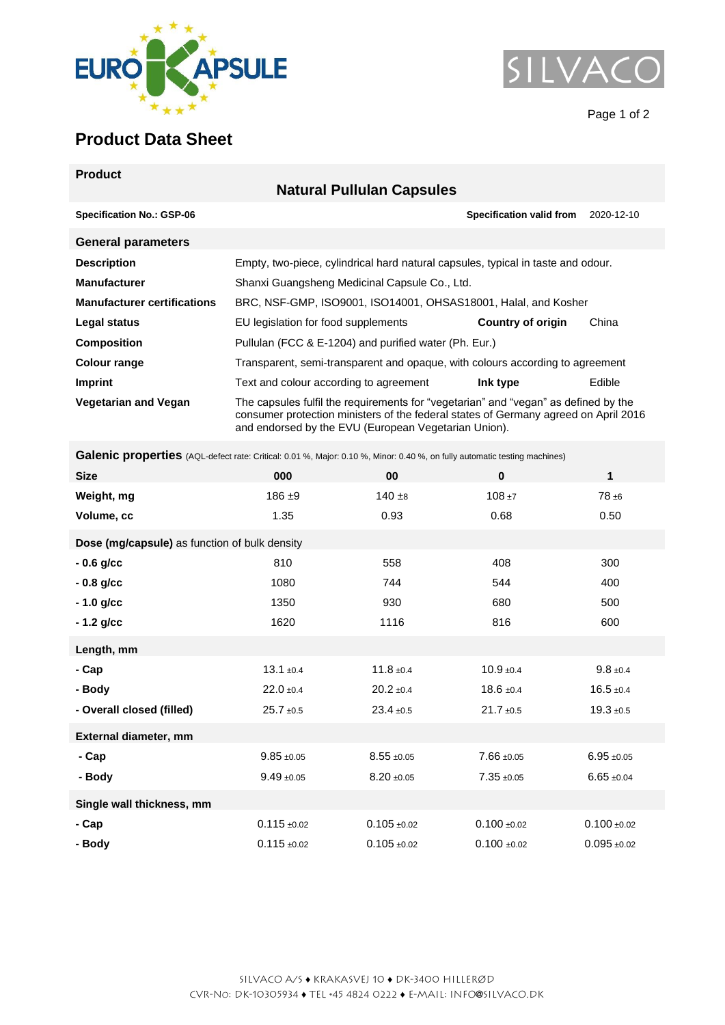



Page 1 of 2

## **Product Data Sheet**

| <b>Product</b>                     |                                                                                                                                                                                                                                    |                                 |               |  |  |  |  |
|------------------------------------|------------------------------------------------------------------------------------------------------------------------------------------------------------------------------------------------------------------------------------|---------------------------------|---------------|--|--|--|--|
| <b>Natural Pullulan Capsules</b>   |                                                                                                                                                                                                                                    |                                 |               |  |  |  |  |
| <b>Specification No.: GSP-06</b>   |                                                                                                                                                                                                                                    | <b>Specification valid from</b> | 2020-12-10    |  |  |  |  |
| <b>General parameters</b>          |                                                                                                                                                                                                                                    |                                 |               |  |  |  |  |
| <b>Description</b>                 | Empty, two-piece, cylindrical hard natural capsules, typical in taste and odour.                                                                                                                                                   |                                 |               |  |  |  |  |
| <b>Manufacturer</b>                | Shanxi Guangsheng Medicinal Capsule Co., Ltd.                                                                                                                                                                                      |                                 |               |  |  |  |  |
| <b>Manufacturer certifications</b> | BRC, NSF-GMP, ISO9001, ISO14001, OHSAS18001, Halal, and Kosher                                                                                                                                                                     |                                 |               |  |  |  |  |
| Legal status                       | EU legislation for food supplements                                                                                                                                                                                                | Country of origin               | China         |  |  |  |  |
| <b>Composition</b>                 | Pullulan (FCC & E-1204) and purified water (Ph. Eur.)                                                                                                                                                                              |                                 |               |  |  |  |  |
| Colour range                       | Transparent, semi-transparent and opaque, with colours according to agreement                                                                                                                                                      |                                 |               |  |  |  |  |
| Imprint                            | Text and colour according to agreement                                                                                                                                                                                             | Ink type                        | <b>Edible</b> |  |  |  |  |
| <b>Vegetarian and Vegan</b>        | The capsules fulfil the requirements for "vegetarian" and "vegan" as defined by the<br>consumer protection ministers of the federal states of Germany agreed on April 2016<br>and endorsed by the EVU (European Vegetarian Union). |                                 |               |  |  |  |  |

Galenic properties (AQL-defect rate: Critical: 0.01 %, Major: 0.10 %, Minor: 0.40 %, on fully automatic testing machines)

| <b>Size</b>                                   | 000              | 00               | $\bf{0}$        | 1              |  |  |  |
|-----------------------------------------------|------------------|------------------|-----------------|----------------|--|--|--|
| Weight, mg                                    | $186 + 9$        | $140 + 8$        | $108 + 7$       | $78 + 6$       |  |  |  |
| Volume, cc                                    | 1.35             | 0.93             | 0.68            | 0.50           |  |  |  |
| Dose (mg/capsule) as function of bulk density |                  |                  |                 |                |  |  |  |
| $-0.6$ g/cc                                   | 810              | 558              | 408             | 300            |  |  |  |
| $-0.8$ g/cc                                   | 1080             | 744              | 544             | 400            |  |  |  |
| $-1.0$ g/cc                                   | 1350             | 930              | 680             | 500            |  |  |  |
| $-1.2$ g/cc                                   | 1620             | 1116             | 816             | 600            |  |  |  |
| Length, mm                                    |                  |                  |                 |                |  |  |  |
| - Cap                                         | $13.1 \pm 0.4$   | $11.8 \pm 0.4$   | $10.9 + 0.4$    | $9.8 \pm 0.4$  |  |  |  |
| - Body                                        | $22.0 \pm 0.4$   | $20.2 \pm 0.4$   | $18.6 \pm 0.4$  | $16.5 \pm 0.4$ |  |  |  |
| - Overall closed (filled)                     | $25.7 + 0.5$     | $23.4 \pm 0.5$   | $21.7 \pm 0.5$  | $19.3 + 0.5$   |  |  |  |
| External diameter, mm                         |                  |                  |                 |                |  |  |  |
| - Cap                                         | $9.85 + 0.05$    | $8.55 + 0.05$    | $7.66 \pm 0.05$ | $6.95 + 0.05$  |  |  |  |
| - Body                                        | $9.49 + 0.05$    | $8.20 + 0.05$    | $7.35 + 0.05$   | $6.65 + 0.04$  |  |  |  |
| Single wall thickness, mm                     |                  |                  |                 |                |  |  |  |
| - Cap                                         | $0.115 \pm 0.02$ | $0.105 \pm 0.02$ | $0.100 + 0.02$  | $0.100 + 0.02$ |  |  |  |
| - Body                                        | $0.115 \pm 0.02$ | $0.105 \pm 0.02$ | $0.100 + 0.02$  | $0.095 + 0.02$ |  |  |  |